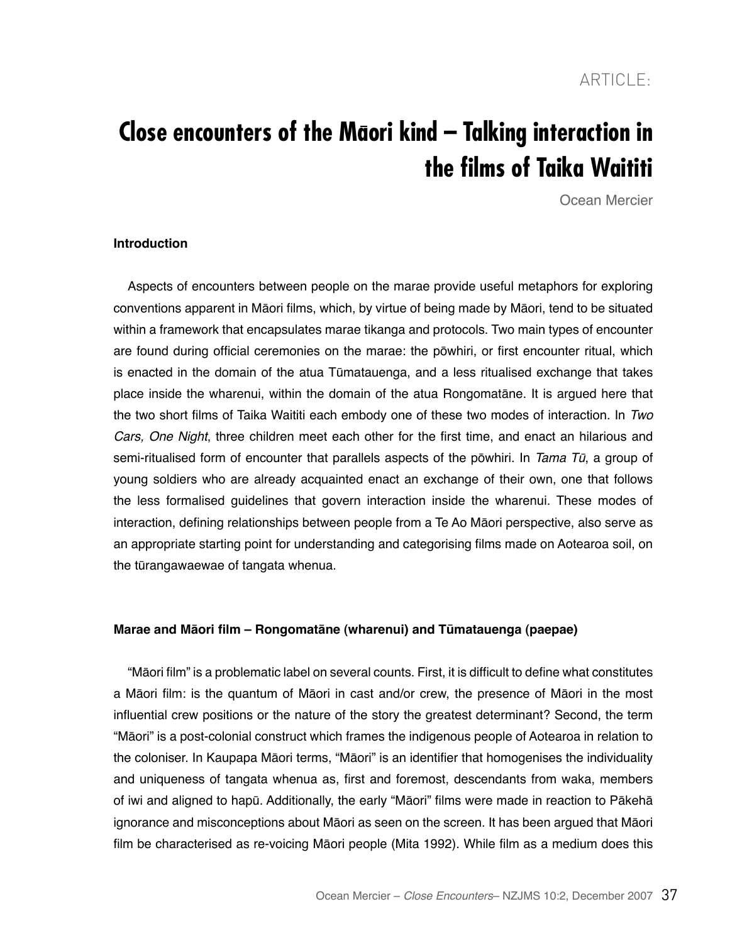# **Close encounters of the Maori kind – Talking interaction in the films of Taika Waititi**

Ocean Mercier

## **Introduction**

Aspects of encounters between people on the marae provide useful metaphors for exploring conventions apparent in Māori films, which, by virtue of being made by Māori, tend to be situated within a framework that encapsulates marae tikanga and protocols. Two main types of encounter are found during official ceremonies on the marae: the pōwhiri, or first encounter ritual, which is enacted in the domain of the atua Tūmatauenga, and a less ritualised exchange that takes place inside the wharenui, within the domain of the atua Rongomatāne. It is argued here that the two short films of Taika Waititi each embody one of these two modes of interaction. In *Two*  Cars, One Night, three children meet each other for the first time, and enact an hilarious and semi-ritualised form of encounter that parallels aspects of the pōwhiri. In Tama Tū, a group of young soldiers who are already acquainted enact an exchange of their own, one that follows the less formalised guidelines that govern interaction inside the wharenui. These modes of interaction, defining relationships between people from a Te Ao Māori perspective, also serve as an appropriate starting point for understanding and categorising films made on Aotearoa soil, on the tūrangawaewae of tangata whenua.

# **Marae and Māori film – Rongomatāne (wharenui) and Tūmatauenga (paepae)**

"Māori film" is a problematic label on several counts. First, it is difficult to define what constitutes a Māori film: is the quantum of Māori in cast and/or crew, the presence of Māori in the most influential crew positions or the nature of the story the greatest determinant? Second, the term "Māori" is a post-colonial construct which frames the indigenous people of Aotearoa in relation to the coloniser. In Kaupapa Māori terms, "Māori" is an identifier that homogenises the individuality and uniqueness of tangata whenua as, first and foremost, descendants from waka, members of iwi and aligned to hapū. Additionally, the early "Māori" films were made in reaction to Pākehā ignorance and misconceptions about Māori as seen on the screen. It has been argued that Māori film be characterised as re-voicing Māori people (Mita 1992). While film as a medium does this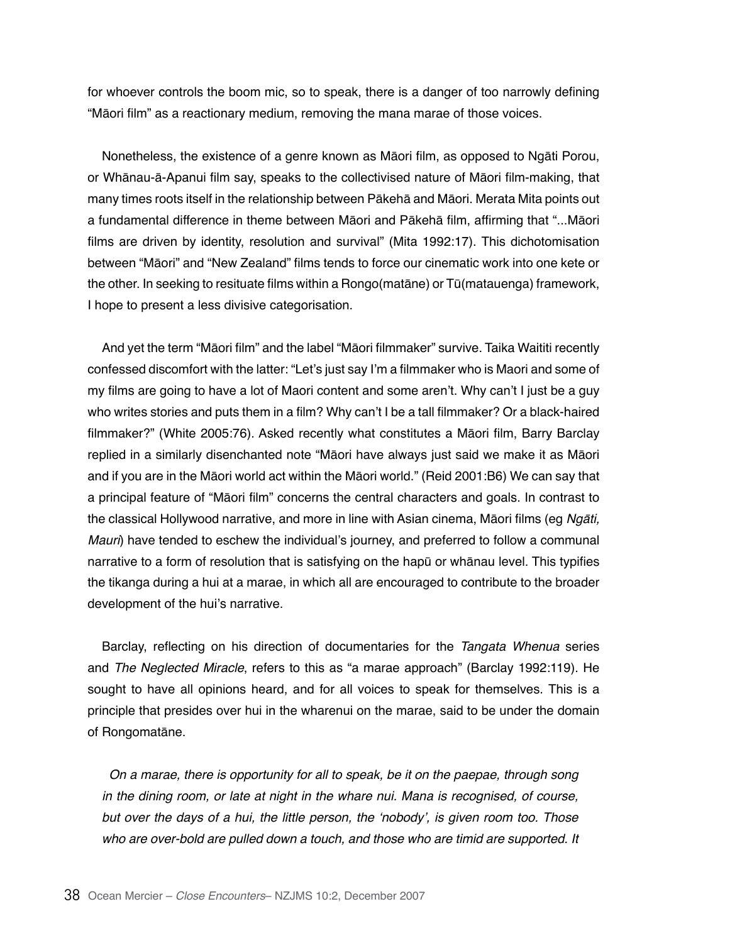for whoever controls the boom mic, so to speak, there is a danger of too narrowly defining "Māori film" as a reactionary medium, removing the mana marae of those voices.

Nonetheless, the existence of a genre known as Māori film, as opposed to Ngāti Porou, or Whānau-ā-Apanui film say, speaks to the collectivised nature of Māori film-making, that many times roots itself in the relationship between Pākehā and Māori. Merata Mita points out a fundamental difference in theme between Māori and Pākehā film, affirming that "...Māori films are driven by identity, resolution and survival" (Mita 1992:17). This dichotomisation between "Māori" and "New Zealand" films tends to force our cinematic work into one kete or the other. In seeking to resituate films within a Rongo(matāne) or Tū(matauenga) framework, I hope to present a less divisive categorisation.

And yet the term "Māori film" and the label "Māori filmmaker" survive. Taika Waititi recently confessed discomfort with the latter: "Let's just say I'm a filmmaker who is Maori and some of my films are going to have a lot of Maori content and some aren't. Why can't I just be a guy who writes stories and puts them in a film? Why can't I be a tall filmmaker? Or a black-haired filmmaker?" (White 2005:76). Asked recently what constitutes a Māori film, Barry Barclay replied in a similarly disenchanted note "Māori have always just said we make it as Māori and if you are in the Māori world act within the Māori world." (Reid 2001:B6) We can say that a principal feature of "Māori film" concerns the central characters and goals. In contrast to the classical Hollywood narrative, and more in line with Asian cinema, Māori films (eg Ngāti, *Mauri*) have tended to eschew the individual's journey, and preferred to follow a communal narrative to a form of resolution that is satisfying on the hapū or whānau level. This typifies the tikanga during a hui at a marae, in which all are encouraged to contribute to the broader development of the hui's narrative.

Barclay, reflecting on his direction of documentaries for the Tangata Whenua series and The Neglected Miracle, refers to this as "a marae approach" (Barclay 1992:119). He sought to have all opinions heard, and for all voices to speak for themselves. This is a principle that presides over hui in the wharenui on the marae, said to be under the domain of Rongomatāne.

On a marae, there is opportunity for all to speak, be it on the paepae, through song in the dining room, or late at night in the whare nui. Mana is recognised, of course, but over the days of a hui, the little person, the 'nobody', is given room too. Those who are over-bold are pulled down a touch, and those who are timid are supported. It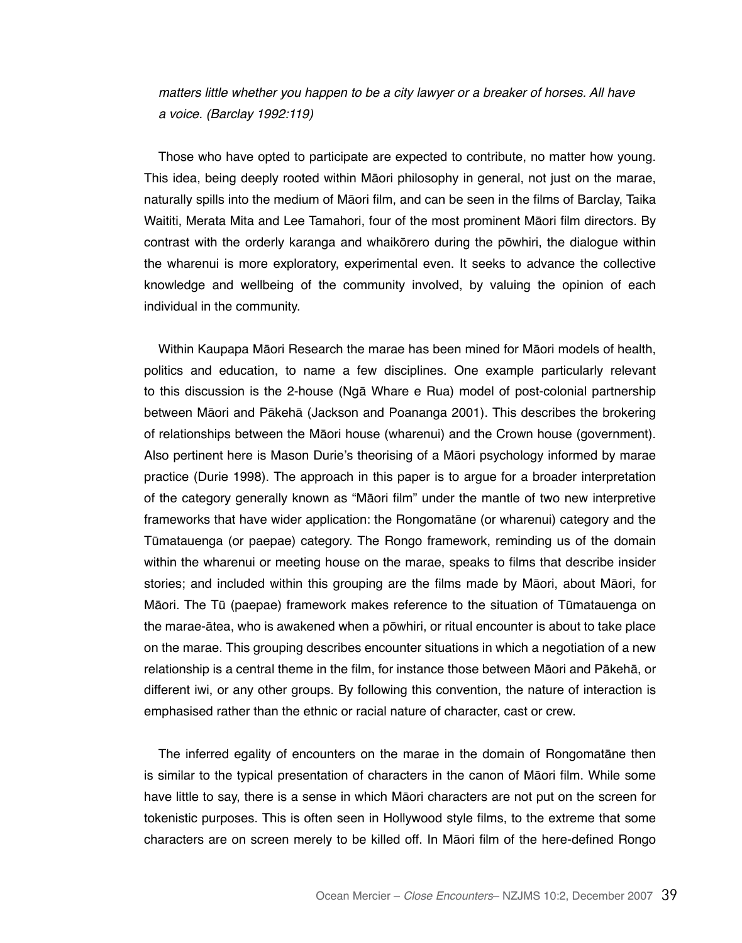matters little whether you happen to be a city lawyer or a breaker of horses. All have a voice. (Barclay 1992:119)

Those who have opted to participate are expected to contribute, no matter how young. This idea, being deeply rooted within Māori philosophy in general, not just on the marae, naturally spills into the medium of Māori film, and can be seen in the films of Barclay, Taika Waititi, Merata Mita and Lee Tamahori, four of the most prominent Māori film directors. By contrast with the orderly karanga and whaikōrero during the pōwhiri, the dialogue within the wharenui is more exploratory, experimental even. It seeks to advance the collective knowledge and wellbeing of the community involved, by valuing the opinion of each individual in the community.

Within Kaupapa Māori Research the marae has been mined for Māori models of health, politics and education, to name a few disciplines. One example particularly relevant to this discussion is the 2-house (Ngā Whare e Rua) model of post-colonial partnership between Māori and Pākehā (Jackson and Poananga 2001). This describes the brokering of relationships between the Māori house (wharenui) and the Crown house (government). Also pertinent here is Mason Durie's theorising of a Māori psychology informed by marae practice (Durie 1998). The approach in this paper is to argue for a broader interpretation of the category generally known as "Māori film" under the mantle of two new interpretive frameworks that have wider application: the Rongomatāne (or wharenui) category and the Tūmatauenga (or paepae) category. The Rongo framework, reminding us of the domain within the wharenui or meeting house on the marae, speaks to films that describe insider stories; and included within this grouping are the films made by Māori, about Māori, for Māori. The Tū (paepae) framework makes reference to the situation of Tūmatauenga on the marae-ātea, who is awakened when a pōwhiri, or ritual encounter is about to take place on the marae. This grouping describes encounter situations in which a negotiation of a new relationship is a central theme in the film, for instance those between Māori and Pākehā, or different iwi, or any other groups. By following this convention, the nature of interaction is emphasised rather than the ethnic or racial nature of character, cast or crew.

The inferred egality of encounters on the marae in the domain of Rongomatāne then is similar to the typical presentation of characters in the canon of Māori film. While some have little to say, there is a sense in which Māori characters are not put on the screen for tokenistic purposes. This is often seen in Hollywood style films, to the extreme that some characters are on screen merely to be killed off. In Māori film of the here-defined Rongo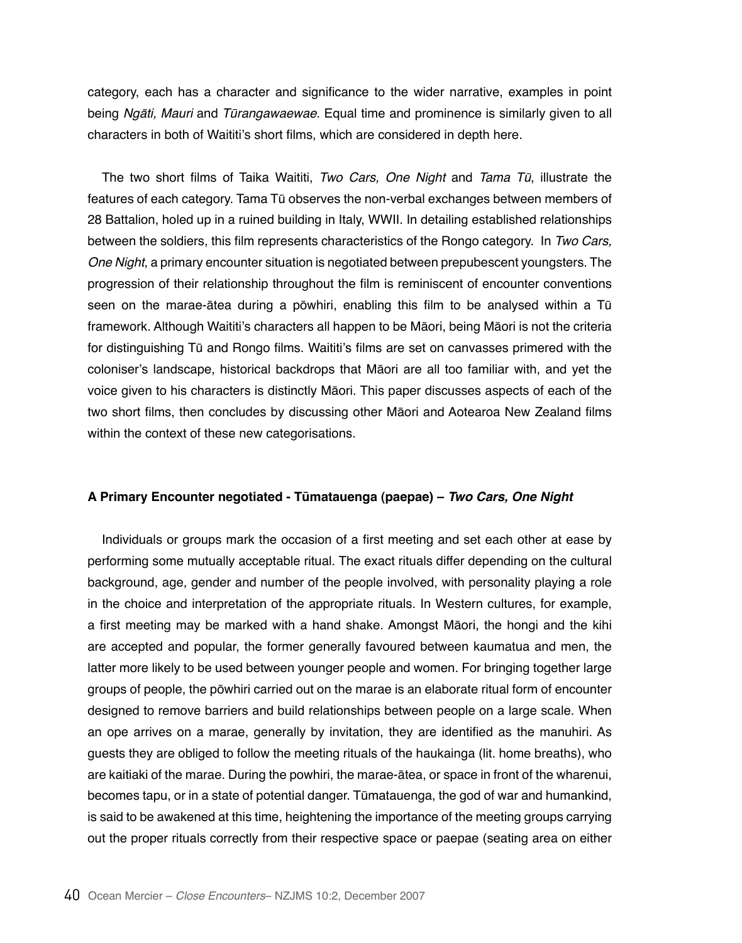category, each has a character and significance to the wider narrative, examples in point being Ngāti, Mauri and Tūrangawaewae. Equal time and prominence is similarly given to all characters in both of Waititi's short films, which are considered in depth here.

The two short films of Taika Waititi, Two Cars, One Night and Tama Tū, illustrate the features of each category. Tama Tū observes the non-verbal exchanges between members of 28 Battalion, holed up in a ruined building in Italy, WWII. In detailing established relationships between the soldiers, this film represents characteristics of the Rongo category. In Two Cars, One Night, a primary encounter situation is negotiated between prepubescent youngsters. The progression of their relationship throughout the film is reminiscent of encounter conventions seen on the marae-ātea during a pōwhiri, enabling this film to be analysed within a Tū framework. Although Waititi's characters all happen to be Māori, being Māori is not the criteria for distinguishing Tū and Rongo films. Waititi's films are set on canvasses primered with the coloniser's landscape, historical backdrops that Māori are all too familiar with, and yet the voice given to his characters is distinctly Māori. This paper discusses aspects of each of the two short films, then concludes by discussing other Māori and Aotearoa New Zealand films within the context of these new categorisations.

# **A Primary Encounter negotiated - Tūmatauenga (paepae) –** *Two Cars, One Night*

Individuals or groups mark the occasion of a first meeting and set each other at ease by performing some mutually acceptable ritual. The exact rituals differ depending on the cultural background, age, gender and number of the people involved, with personality playing a role in the choice and interpretation of the appropriate rituals. In Western cultures, for example, a first meeting may be marked with a hand shake. Amongst Māori, the hongi and the kihi are accepted and popular, the former generally favoured between kaumatua and men, the latter more likely to be used between younger people and women. For bringing together large groups of people, the pōwhiri carried out on the marae is an elaborate ritual form of encounter designed to remove barriers and build relationships between people on a large scale. When an ope arrives on a marae, generally by invitation, they are identified as the manuhiri. As guests they are obliged to follow the meeting rituals of the haukainga (lit. home breaths), who are kaitiaki of the marae. During the powhiri, the marae-ātea, or space in front of the wharenui, becomes tapu, or in a state of potential danger. Tūmatauenga, the god of war and humankind, is said to be awakened at this time, heightening the importance of the meeting groups carrying out the proper rituals correctly from their respective space or paepae (seating area on either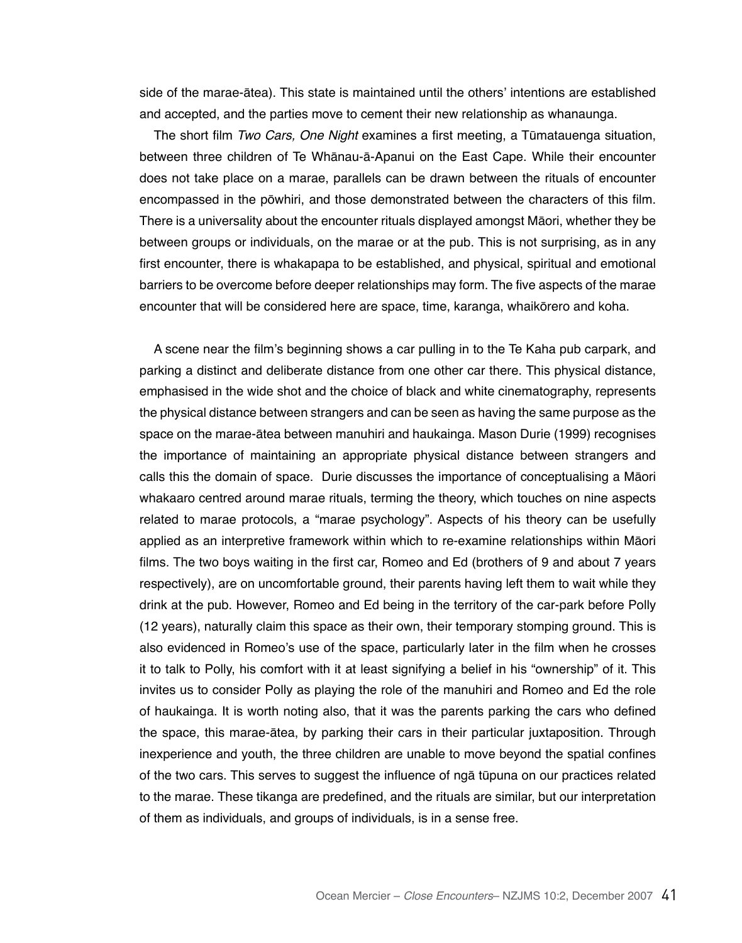side of the marae-ātea). This state is maintained until the others' intentions are established and accepted, and the parties move to cement their new relationship as whanaunga.

The short film Two Cars, One Night examines a first meeting, a Tūmatauenga situation, between three children of Te Whānau-ā-Apanui on the East Cape. While their encounter does not take place on a marae, parallels can be drawn between the rituals of encounter encompassed in the pōwhiri, and those demonstrated between the characters of this film. There is a universality about the encounter rituals displayed amongst Māori, whether they be between groups or individuals, on the marae or at the pub. This is not surprising, as in any first encounter, there is whakapapa to be established, and physical, spiritual and emotional barriers to be overcome before deeper relationships may form. The five aspects of the marae encounter that will be considered here are space, time, karanga, whaikōrero and koha.

A scene near the film's beginning shows a car pulling in to the Te Kaha pub carpark, and parking a distinct and deliberate distance from one other car there. This physical distance, emphasised in the wide shot and the choice of black and white cinematography, represents the physical distance between strangers and can be seen as having the same purpose as the space on the marae-ātea between manuhiri and haukainga. Mason Durie (1999) recognises the importance of maintaining an appropriate physical distance between strangers and calls this the domain of space. Durie discusses the importance of conceptualising a Māori whakaaro centred around marae rituals, terming the theory, which touches on nine aspects related to marae protocols, a "marae psychology". Aspects of his theory can be usefully applied as an interpretive framework within which to re-examine relationships within Māori films. The two boys waiting in the first car, Romeo and Ed (brothers of 9 and about 7 years respectively), are on uncomfortable ground, their parents having left them to wait while they drink at the pub. However, Romeo and Ed being in the territory of the car-park before Polly (12 years), naturally claim this space as their own, their temporary stomping ground. This is also evidenced in Romeo's use of the space, particularly later in the film when he crosses it to talk to Polly, his comfort with it at least signifying a belief in his "ownership" of it. This invites us to consider Polly as playing the role of the manuhiri and Romeo and Ed the role of haukainga. It is worth noting also, that it was the parents parking the cars who defined the space, this marae-ātea, by parking their cars in their particular juxtaposition. Through inexperience and youth, the three children are unable to move beyond the spatial confines of the two cars. This serves to suggest the influence of ngā tūpuna on our practices related to the marae. These tikanga are predefined, and the rituals are similar, but our interpretation of them as individuals, and groups of individuals, is in a sense free.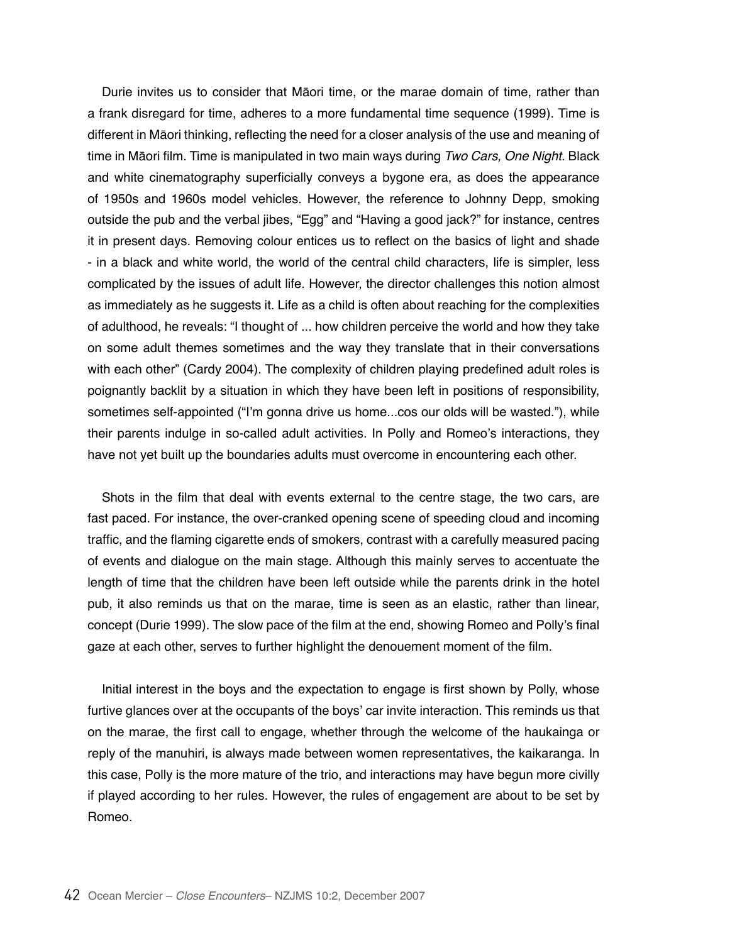Durie invites us to consider that Māori time, or the marae domain of time, rather than a frank disregard for time, adheres to a more fundamental time sequence (1999). Time is different in Māori thinking, reflecting the need for a closer analysis of the use and meaning of time in Māori film. Time is manipulated in two main ways during Two Cars, One Night. Black and white cinematography superficially conveys a bygone era, as does the appearance of 1950s and 1960s model vehicles. However, the reference to Johnny Depp, smoking outside the pub and the verbal jibes, "Egg" and "Having a good jack?" for instance, centres it in present days. Removing colour entices us to reflect on the basics of light and shade - in a black and white world, the world of the central child characters, life is simpler, less complicated by the issues of adult life. However, the director challenges this notion almost as immediately as he suggests it. Life as a child is often about reaching for the complexities of adulthood, he reveals: "I thought of ... how children perceive the world and how they take on some adult themes sometimes and the way they translate that in their conversations with each other" (Cardy 2004). The complexity of children playing predefined adult roles is poignantly backlit by a situation in which they have been left in positions of responsibility, sometimes self-appointed ("I'm gonna drive us home...cos our olds will be wasted."), while their parents indulge in so-called adult activities. In Polly and Romeo's interactions, they have not yet built up the boundaries adults must overcome in encountering each other.

Shots in the film that deal with events external to the centre stage, the two cars, are fast paced. For instance, the over-cranked opening scene of speeding cloud and incoming traffic, and the flaming cigarette ends of smokers, contrast with a carefully measured pacing of events and dialogue on the main stage. Although this mainly serves to accentuate the length of time that the children have been left outside while the parents drink in the hotel pub, it also reminds us that on the marae, time is seen as an elastic, rather than linear, concept (Durie 1999). The slow pace of the film at the end, showing Romeo and Polly's final gaze at each other, serves to further highlight the denouement moment of the film.

Initial interest in the boys and the expectation to engage is first shown by Polly, whose furtive glances over at the occupants of the boys' car invite interaction. This reminds us that on the marae, the first call to engage, whether through the welcome of the haukainga or reply of the manuhiri, is always made between women representatives, the kaikaranga. In this case, Polly is the more mature of the trio, and interactions may have begun more civilly if played according to her rules. However, the rules of engagement are about to be set by Romeo.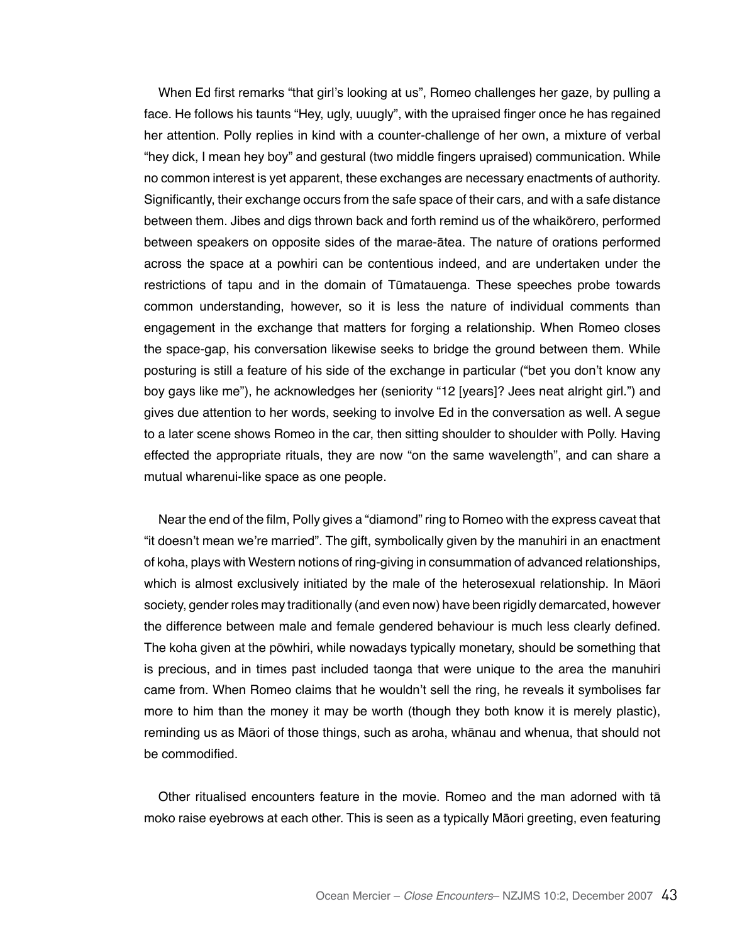When Ed first remarks "that girl's looking at us", Romeo challenges her gaze, by pulling a face. He follows his taunts "Hey, ugly, uuugly", with the upraised finger once he has regained her attention. Polly replies in kind with a counter-challenge of her own, a mixture of verbal "hey dick, I mean hey boy" and gestural (two middle fingers upraised) communication. While no common interest is yet apparent, these exchanges are necessary enactments of authority. Significantly, their exchange occurs from the safe space of their cars, and with a safe distance between them. Jibes and digs thrown back and forth remind us of the whaikōrero, performed between speakers on opposite sides of the marae-ātea. The nature of orations performed across the space at a powhiri can be contentious indeed, and are undertaken under the restrictions of tapu and in the domain of Tūmatauenga. These speeches probe towards common understanding, however, so it is less the nature of individual comments than engagement in the exchange that matters for forging a relationship. When Romeo closes the space-gap, his conversation likewise seeks to bridge the ground between them. While posturing is still a feature of his side of the exchange in particular ("bet you don't know any boy gays like me"), he acknowledges her (seniority "12 [years]? Jees neat alright girl.") and gives due attention to her words, seeking to involve Ed in the conversation as well. A segue to a later scene shows Romeo in the car, then sitting shoulder to shoulder with Polly. Having effected the appropriate rituals, they are now "on the same wavelength", and can share a mutual wharenui-like space as one people.

Near the end of the film, Polly gives a "diamond" ring to Romeo with the express caveat that "it doesn't mean we're married". The gift, symbolically given by the manuhiri in an enactment of koha, plays with Western notions of ring-giving in consummation of advanced relationships, which is almost exclusively initiated by the male of the heterosexual relationship. In Māori society, gender roles may traditionally (and even now) have been rigidly demarcated, however the difference between male and female gendered behaviour is much less clearly defined. The koha given at the pōwhiri, while nowadays typically monetary, should be something that is precious, and in times past included taonga that were unique to the area the manuhiri came from. When Romeo claims that he wouldn't sell the ring, he reveals it symbolises far more to him than the money it may be worth (though they both know it is merely plastic), reminding us as Māori of those things, such as aroha, whānau and whenua, that should not be commodified.

Other ritualised encounters feature in the movie. Romeo and the man adorned with tā moko raise eyebrows at each other. This is seen as a typically Māori greeting, even featuring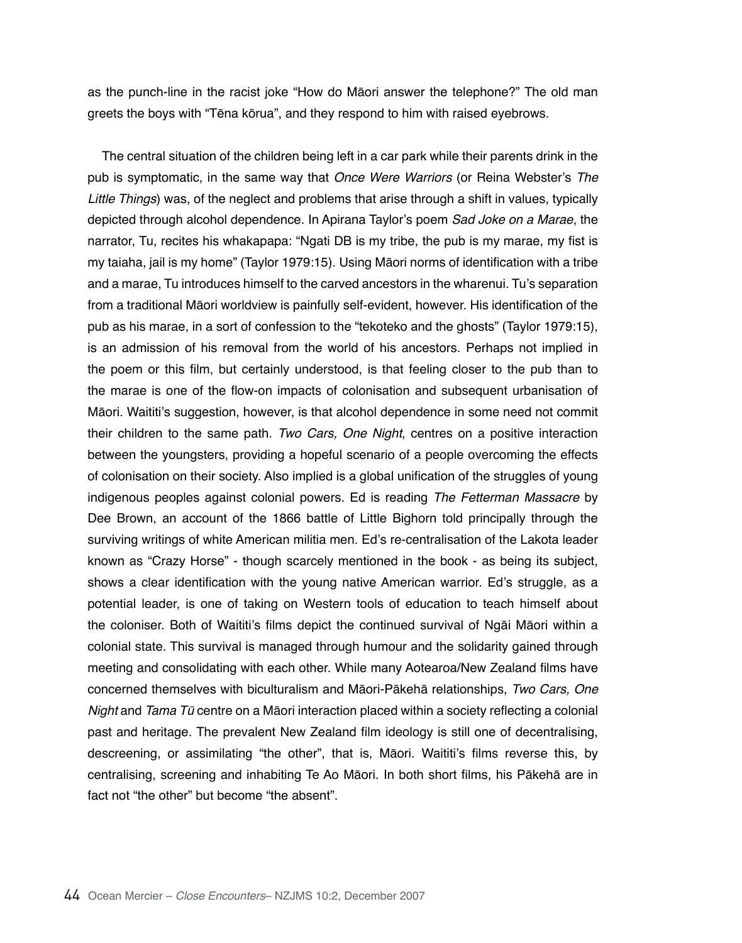as the punch-line in the racist joke "How do Māori answer the telephone?" The old man greets the boys with "Tēna kōrua", and they respond to him with raised eyebrows.

The central situation of the children being left in a car park while their parents drink in the pub is symptomatic, in the same way that *Once Were Warriors* (or Reina Webster's *The*  Little Things) was, of the neglect and problems that arise through a shift in values, typically depicted through alcohol dependence. In Apirana Taylor's poem *Sad Joke on a Marae*, the narrator, Tu, recites his whakapapa: "Ngati DB is my tribe, the pub is my marae, my fist is my taiaha, jail is my home" (Taylor 1979:15). Using Māori norms of identification with a tribe and a marae, Tu introduces himself to the carved ancestors in the wharenui. Tu's separation from a traditional Māori worldview is painfully self-evident, however. His identification of the pub as his marae, in a sort of confession to the "tekoteko and the ghosts" (Taylor 1979:15), is an admission of his removal from the world of his ancestors. Perhaps not implied in the poem or this film, but certainly understood, is that feeling closer to the pub than to the marae is one of the flow-on impacts of colonisation and subsequent urbanisation of Māori. Waititi's suggestion, however, is that alcohol dependence in some need not commit their children to the same path. Two Cars, One Night, centres on a positive interaction between the youngsters, providing a hopeful scenario of a people overcoming the effects of colonisation on their society. Also implied is a global unification of the struggles of young indigenous peoples against colonial powers. Ed is reading *The Fetterman Massacre* by Dee Brown, an account of the 1866 battle of Little Bighorn told principally through the surviving writings of white American militia men. Ed's re-centralisation of the Lakota leader known as "Crazy Horse" - though scarcely mentioned in the book - as being its subject, shows a clear identification with the young native American warrior. Ed's struggle, as a potential leader, is one of taking on Western tools of education to teach himself about the coloniser. Both of Waititi's films depict the continued survival of Ngāi Māori within a colonial state. This survival is managed through humour and the solidarity gained through meeting and consolidating with each other. While many Aotearoa/New Zealand films have concerned themselves with biculturalism and Māori-Pākehā relationships, Two Cars, One Night and Tama Tū centre on a Māori interaction placed within a society reflecting a colonial past and heritage. The prevalent New Zealand film ideology is still one of decentralising, descreening, or assimilating "the other", that is, Māori. Waititi's films reverse this, by centralising, screening and inhabiting Te Ao Māori. In both short films, his Pākehā are in fact not "the other" but become "the absent".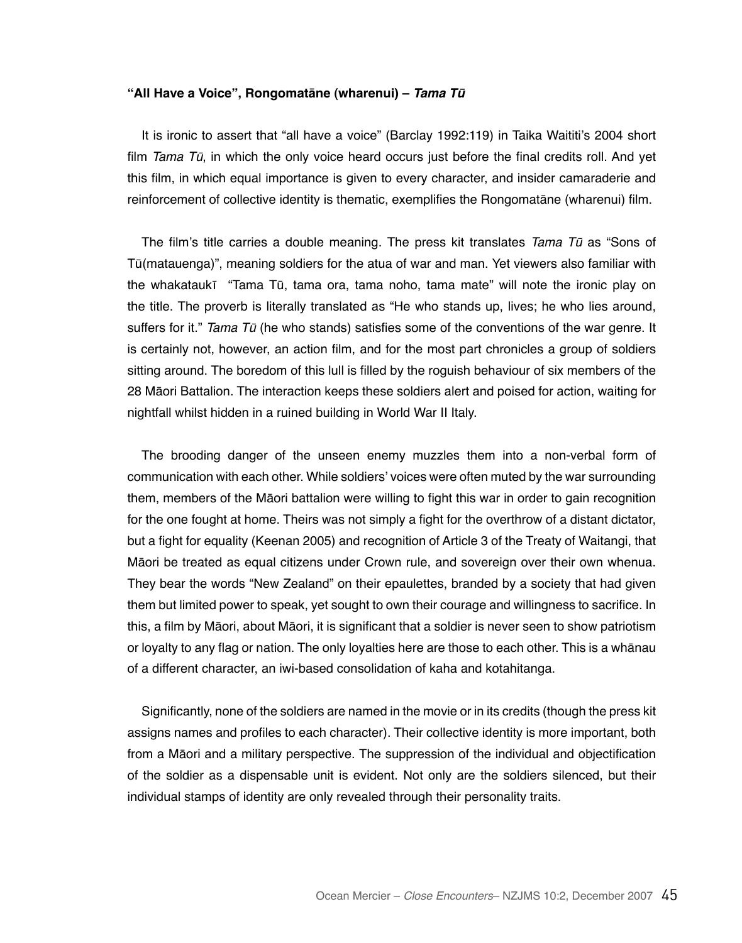## **"All Have a Voice", Rongomatāne (wharenui) – Tama Tū**

It is ironic to assert that "all have a voice" (Barclay 1992:119) in Taika Waititi's 2004 short film Tama  $T\bar{u}$ , in which the only voice heard occurs just before the final credits roll. And yet this film, in which equal importance is given to every character, and insider camaraderie and reinforcement of collective identity is thematic, exemplifies the Rongomatāne (wharenui) film.

The film's title carries a double meaning. The press kit translates Tama Tū as "Sons of Tū(matauenga)", meaning soldiers for the atua of war and man. Yet viewers also familiar with the whakataukī "Tama Tū, tama ora, tama noho, tama mate" will note the ironic play on the title. The proverb is literally translated as "He who stands up, lives; he who lies around, suffers for it." Tama  $T\bar{u}$  (he who stands) satisfies some of the conventions of the war genre. It is certainly not, however, an action film, and for the most part chronicles a group of soldiers sitting around. The boredom of this lull is filled by the roguish behaviour of six members of the 28 Māori Battalion. The interaction keeps these soldiers alert and poised for action, waiting for nightfall whilst hidden in a ruined building in World War II Italy.

The brooding danger of the unseen enemy muzzles them into a non-verbal form of communication with each other. While soldiers' voices were often muted by the war surrounding them, members of the Māori battalion were willing to fight this war in order to gain recognition for the one fought at home. Theirs was not simply a fight for the overthrow of a distant dictator, but a fight for equality (Keenan 2005) and recognition of Article 3 of the Treaty of Waitangi, that Māori be treated as equal citizens under Crown rule, and sovereign over their own whenua. They bear the words "New Zealand" on their epaulettes, branded by a society that had given them but limited power to speak, yet sought to own their courage and willingness to sacrifice. In this, a film by Māori, about Māori, it is significant that a soldier is never seen to show patriotism or loyalty to any flag or nation. The only loyalties here are those to each other. This is a whānau of a different character, an iwi-based consolidation of kaha and kotahitanga.

Significantly, none of the soldiers are named in the movie or in its credits (though the press kit assigns names and profiles to each character). Their collective identity is more important, both from a Māori and a military perspective. The suppression of the individual and objectification of the soldier as a dispensable unit is evident. Not only are the soldiers silenced, but their individual stamps of identity are only revealed through their personality traits.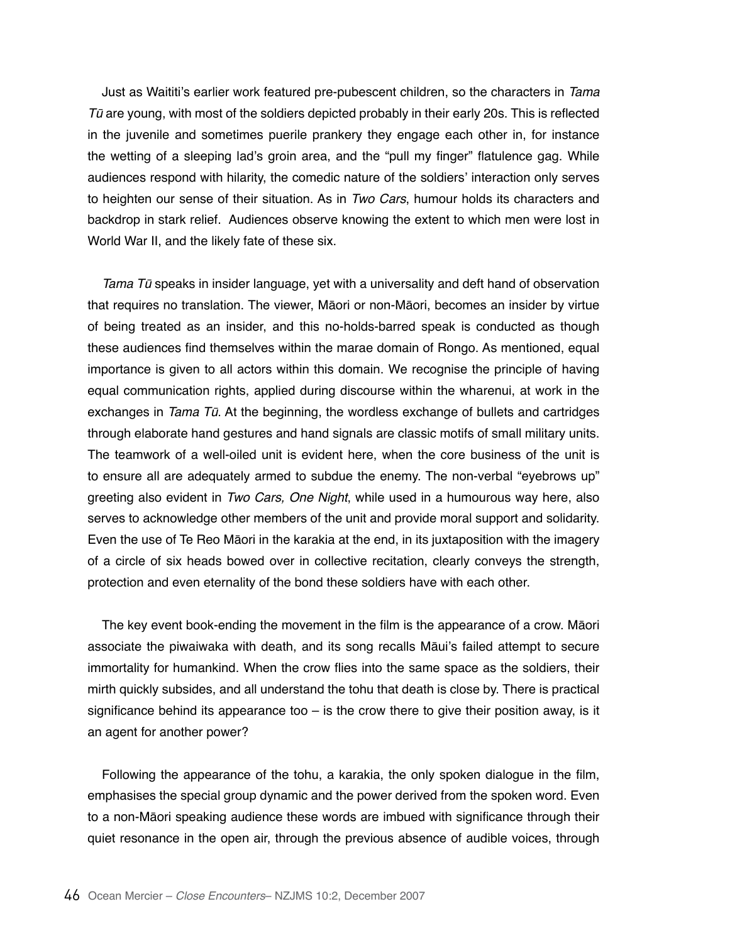Just as Waititi's earlier work featured pre-pubescent children, so the characters in *Tama*   $T\bar{u}$  are young, with most of the soldiers depicted probably in their early 20s. This is reflected in the juvenile and sometimes puerile prankery they engage each other in, for instance the wetting of a sleeping lad's groin area, and the "pull my finger" flatulence gag. While audiences respond with hilarity, the comedic nature of the soldiers' interaction only serves to heighten our sense of their situation. As in *Two Cars*, humour holds its characters and backdrop in stark relief. Audiences observe knowing the extent to which men were lost in World War II, and the likely fate of these six.

Tama Tū speaks in insider language, yet with a universality and deft hand of observation that requires no translation. The viewer, Māori or non-Māori, becomes an insider by virtue of being treated as an insider, and this no-holds-barred speak is conducted as though these audiences find themselves within the marae domain of Rongo. As mentioned, equal importance is given to all actors within this domain. We recognise the principle of having equal communication rights, applied during discourse within the wharenui, at work in the exchanges in Tama Tū. At the beginning, the wordless exchange of bullets and cartridges through elaborate hand gestures and hand signals are classic motifs of small military units. The teamwork of a well-oiled unit is evident here, when the core business of the unit is to ensure all are adequately armed to subdue the enemy. The non-verbal "eyebrows up" greeting also evident in Two Cars, One Night, while used in a humourous way here, also serves to acknowledge other members of the unit and provide moral support and solidarity. Even the use of Te Reo Māori in the karakia at the end, in its juxtaposition with the imagery of a circle of six heads bowed over in collective recitation, clearly conveys the strength, protection and even eternality of the bond these soldiers have with each other.

The key event book-ending the movement in the film is the appearance of a crow. Māori associate the piwaiwaka with death, and its song recalls Māui's failed attempt to secure immortality for humankind. When the crow flies into the same space as the soldiers, their mirth quickly subsides, and all understand the tohu that death is close by. There is practical significance behind its appearance too  $-$  is the crow there to give their position away, is it an agent for another power?

Following the appearance of the tohu, a karakia, the only spoken dialogue in the film, emphasises the special group dynamic and the power derived from the spoken word. Even to a non-Māori speaking audience these words are imbued with significance through their quiet resonance in the open air, through the previous absence of audible voices, through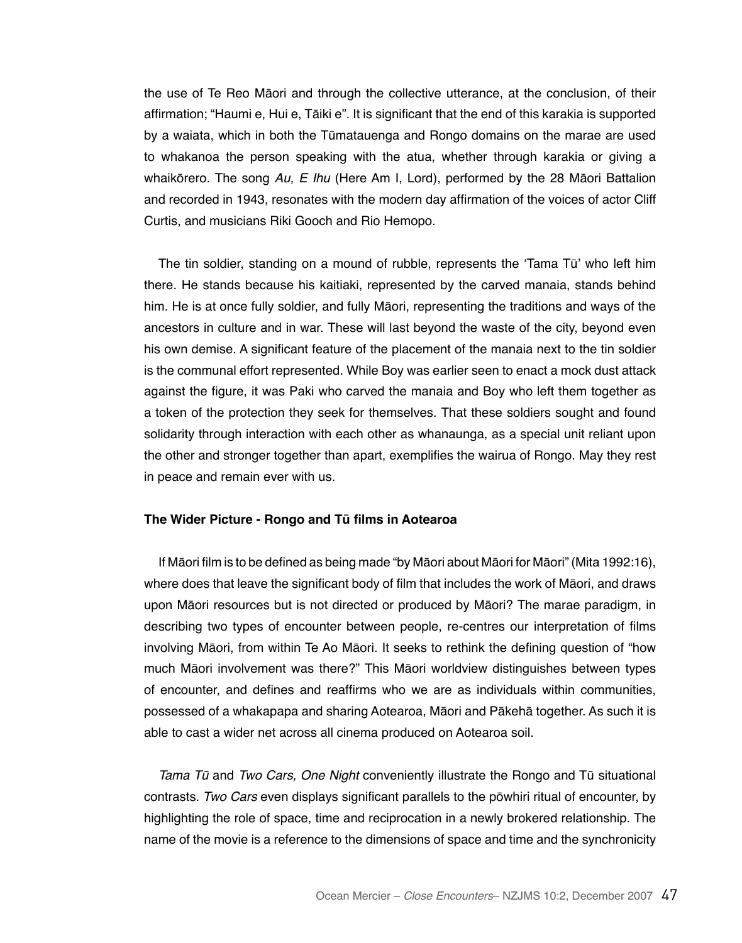the use of Te Reo Māori and through the collective utterance, at the conclusion, of their affirmation; "Haumi e, Hui e, Tāiki e". It is significant that the end of this karakia is supported by a waiata, which in both the Tūmatauenga and Rongo domains on the marae are used to whakanoa the person speaking with the atua, whether through karakia or giving a whaikōrero. The song Au, E Ihu (Here Am I, Lord), performed by the 28 Māori Battalion and recorded in 1943, resonates with the modern day affirmation of the voices of actor Cliff Curtis, and musicians Riki Gooch and Rio Hemopo.

The tin soldier, standing on a mound of rubble, represents the 'Tama Tū' who left him there. He stands because his kaitiaki, represented by the carved manaia, stands behind him. He is at once fully soldier, and fully Māori, representing the traditions and ways of the ancestors in culture and in war. These will last beyond the waste of the city, beyond even his own demise. A significant feature of the placement of the manaia next to the tin soldier is the communal effort represented. While Boy was earlier seen to enact a mock dust attack against the figure, it was Paki who carved the manaia and Boy who left them together as a token of the protection they seek for themselves. That these soldiers sought and found solidarity through interaction with each other as whanaunga, as a special unit reliant upon the other and stronger together than apart, exemplifies the wairua of Rongo. May they rest in peace and remain ever with us.

#### **The Wider Picture - Rongo and Tū films in Aotearoa**

If Māori film is to be defined as being made "by Māori about Māori for Māori" (Mita 1992:16), where does that leave the significant body of film that includes the work of Māori, and draws upon Māori resources but is not directed or produced by Māori? The marae paradigm, in describing two types of encounter between people, re-centres our interpretation of films involving Māori, from within Te Ao Māori. It seeks to rethink the defining question of "how much Māori involvement was there?" This Māori worldview distinguishes between types of encounter, and defines and reaffirms who we are as individuals within communities, possessed of a whakapapa and sharing Aotearoa, Māori and Pākehā together. As such it is able to cast a wider net across all cinema produced on Aotearoa soil.

Tama Tū and Two Cars, One Night conveniently illustrate the Rongo and Tū situational contrasts. *Two Cars* even displays significant parallels to the pōwhiri ritual of encounter, by highlighting the role of space, time and reciprocation in a newly brokered relationship. The name of the movie is a reference to the dimensions of space and time and the synchronicity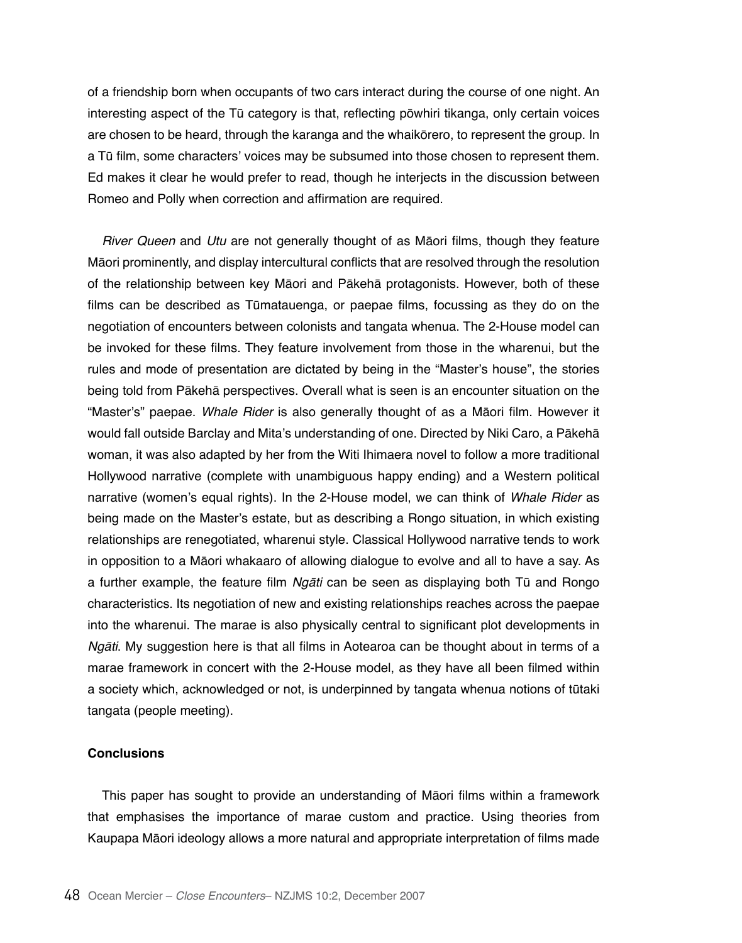of a friendship born when occupants of two cars interact during the course of one night. An interesting aspect of the Tū category is that, reflecting pōwhiri tikanga, only certain voices are chosen to be heard, through the karanga and the whaikōrero, to represent the group. In a Tū film, some characters' voices may be subsumed into those chosen to represent them. Ed makes it clear he would prefer to read, though he interjects in the discussion between Romeo and Polly when correction and affirmation are required.

River Queen and *Utu* are not generally thought of as Māori films, though they feature Māori prominently, and display intercultural conflicts that are resolved through the resolution of the relationship between key Māori and Pākehā protagonists. However, both of these films can be described as Tūmatauenga, or paepae films, focussing as they do on the negotiation of encounters between colonists and tangata whenua. The 2-House model can be invoked for these films. They feature involvement from those in the wharenui, but the rules and mode of presentation are dictated by being in the "Master's house", the stories being told from Pākehā perspectives. Overall what is seen is an encounter situation on the "Master's" paepae. Whale Rider is also generally thought of as a Māori film. However it would fall outside Barclay and Mita's understanding of one. Directed by Niki Caro, a Pākehā woman, it was also adapted by her from the Witi Ihimaera novel to follow a more traditional Hollywood narrative (complete with unambiguous happy ending) and a Western political narrative (women's equal rights). In the 2-House model, we can think of Whale Rider as being made on the Master's estate, but as describing a Rongo situation, in which existing relationships are renegotiated, wharenui style. Classical Hollywood narrative tends to work in opposition to a Māori whakaaro of allowing dialogue to evolve and all to have a say. As a further example, the feature film Ngāti can be seen as displaying both Tū and Rongo characteristics. Its negotiation of new and existing relationships reaches across the paepae into the wharenui. The marae is also physically central to significant plot developments in Ngāti. My suggestion here is that all films in Aotearoa can be thought about in terms of a marae framework in concert with the 2-House model, as they have all been filmed within a society which, acknowledged or not, is underpinned by tangata whenua notions of tūtaki tangata (people meeting).

# **Conclusions**

This paper has sought to provide an understanding of Māori films within a framework that emphasises the importance of marae custom and practice. Using theories from Kaupapa Māori ideology allows a more natural and appropriate interpretation of films made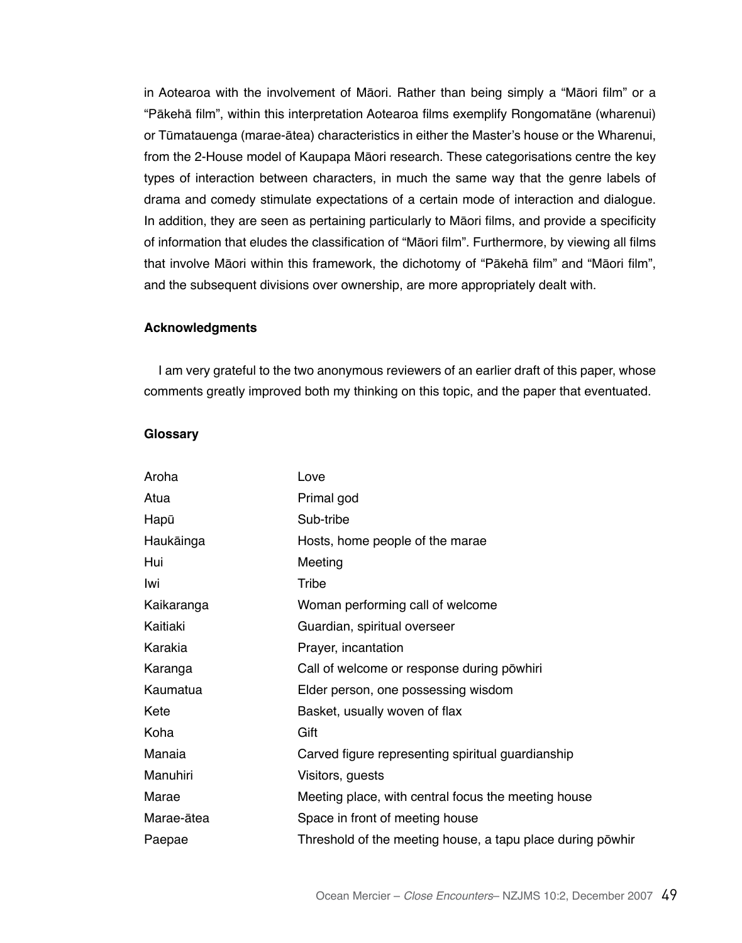in Aotearoa with the involvement of Māori. Rather than being simply a "Māori film" or a "Pākehā film", within this interpretation Aotearoa films exemplify Rongomatāne (wharenui) or Tūmatauenga (marae-ātea) characteristics in either the Master's house or the Wharenui, from the 2-House model of Kaupapa Māori research. These categorisations centre the key types of interaction between characters, in much the same way that the genre labels of drama and comedy stimulate expectations of a certain mode of interaction and dialogue. In addition, they are seen as pertaining particularly to Māori films, and provide a specificity of information that eludes the classification of "Māori film". Furthermore, by viewing all films that involve Māori within this framework, the dichotomy of "Pākehā film" and "Māori film", and the subsequent divisions over ownership, are more appropriately dealt with.

# **Acknowledgments**

I am very grateful to the two anonymous reviewers of an earlier draft of this paper, whose comments greatly improved both my thinking on this topic, and the paper that eventuated.

# **Glossary**

| Aroha      | Love                                                       |
|------------|------------------------------------------------------------|
| Atua       | Primal god                                                 |
| Hapū       | Sub-tribe                                                  |
| Haukāinga  | Hosts, home people of the marae                            |
| Hui        | Meeting                                                    |
| Iwi        | Tribe                                                      |
| Kaikaranga | Woman performing call of welcome                           |
| Kaitiaki   | Guardian, spiritual overseer                               |
| Karakia    | Prayer, incantation                                        |
| Karanga    | Call of welcome or response during powhiri                 |
| Kaumatua   | Elder person, one possessing wisdom                        |
| Kete       | Basket, usually woven of flax                              |
| Koha       | Gift                                                       |
| Manaia     | Carved figure representing spiritual guardianship          |
| Manuhiri   | Visitors, guests                                           |
| Marae      | Meeting place, with central focus the meeting house        |
| Marae-ātea | Space in front of meeting house                            |
| Paepae     | Threshold of the meeting house, a tapu place during powhir |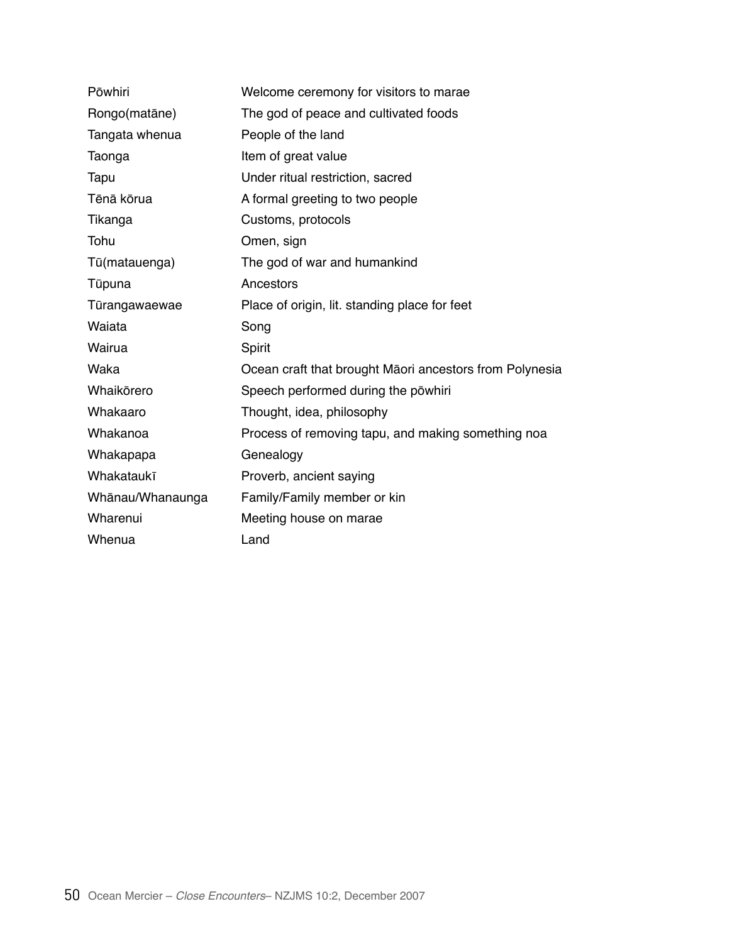| Pōwhiri          | Welcome ceremony for visitors to marae                  |
|------------------|---------------------------------------------------------|
| Rongo(matāne)    | The god of peace and cultivated foods                   |
| Tangata whenua   | People of the land                                      |
| Taonga           | Item of great value                                     |
| Tapu             | Under ritual restriction, sacred                        |
| Tēnā kōrua       | A formal greeting to two people                         |
| Tikanga          | Customs, protocols                                      |
| Tohu             | Omen, sign                                              |
| Tū(matauenga)    | The god of war and humankind                            |
| Tūpuna           | Ancestors                                               |
| Tūrangawaewae    | Place of origin, lit. standing place for feet           |
| Waiata           | Song                                                    |
| Wairua           | Spirit                                                  |
| Waka             |                                                         |
|                  | Ocean craft that brought Māori ancestors from Polynesia |
| Whaikōrero       | Speech performed during the powhiri                     |
| Whakaaro         | Thought, idea, philosophy                               |
| Whakanoa         | Process of removing tapu, and making something noa      |
| Whakapapa        | Genealogy                                               |
| Whakataukī       | Proverb, ancient saying                                 |
| Whānau/Whanaunga | Family/Family member or kin                             |
| Wharenui         | Meeting house on marae                                  |